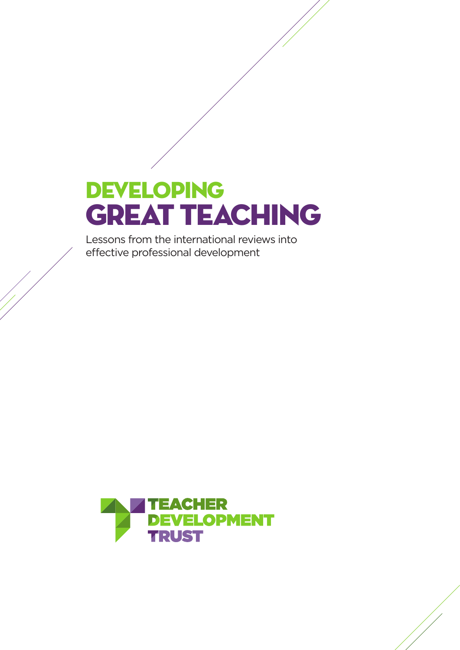# Developing **GREAT TEACHING**

Lessons from the international reviews into effective professional development

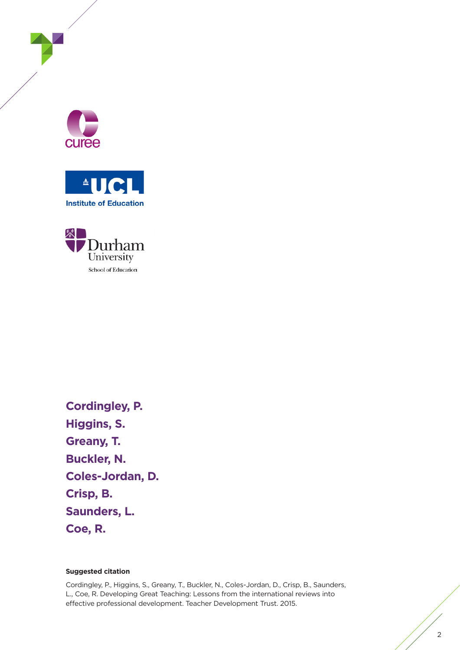





**Cordingley, P. Higgins, S. Greany, T. Buckler, N. Coles-Jordan, D. Crisp, B. Saunders, L. Coe, R.**

#### **Suggested citation**

Cordingley, P., Higgins, S., Greany, T., Buckler, N., Coles-Jordan, D., Crisp, B., Saunders, L., Coe, R. Developing Great Teaching: Lessons from the international reviews into effective professional development. Teacher Development Trust. 2015.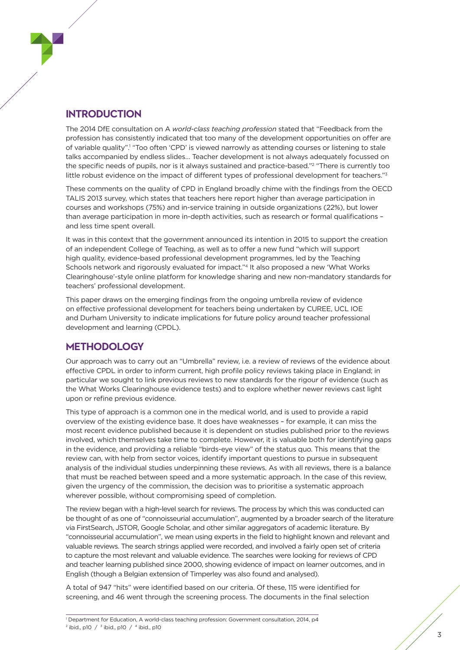#### **INTRODUCTION**

The 2014 DfE consultation on A *world-class teaching profession* stated that "Feedback from the profession has consistently indicated that too many of the development opportunities on offer are of variable quality".<sup>1</sup> "Too often 'CPD' is viewed narrowly as attending courses or listening to stale talks accompanied by endless slides… Teacher development is not always adequately focussed on the specific needs of pupils, nor is it always sustained and practice-based."2 "There is currently too little robust evidence on the impact of different types of professional development for teachers."3

These comments on the quality of CPD in England broadly chime with the findings from the OECD TALIS 2013 survey, which states that teachers here report higher than average participation in courses and workshops (75%) and in-service training in outside organizations (22%), but lower than average participation in more in-depth activities, such as research or formal qualifications – and less time spent overall.

It was in this context that the government announced its intention in 2015 to support the creation of an independent College of Teaching, as well as to offer a new fund "which will support high quality, evidence-based professional development programmes, led by the Teaching Schools network and rigorously evaluated for impact."4 It also proposed a new 'What Works Clearinghouse'-style online platform for knowledge sharing and new non-mandatory standards for teachers' professional development.

This paper draws on the emerging findings from the ongoing umbrella review of evidence on effective professional development for teachers being undertaken by CUREE, UCL IOE and Durham University to indicate implications for future policy around teacher professional development and learning (CPDL).

#### **METHODOLOGY**

Our approach was to carry out an "Umbrella" review, i.e. a review of reviews of the evidence about effective CPDL in order to inform current, high profile policy reviews taking place in England; in particular we sought to link previous reviews to new standards for the rigour of evidence (such as the What Works Clearinghouse evidence tests) and to explore whether newer reviews cast light upon or refine previous evidence.

This type of approach is a common one in the medical world, and is used to provide a rapid overview of the existing evidence base. It does have weaknesses – for example, it can miss the most recent evidence published because it is dependent on studies published prior to the reviews involved, which themselves take time to complete. However, it is valuable both for identifying gaps in the evidence, and providing a reliable "birds-eye view" of the status quo. This means that the review can, with help from sector voices, identify important questions to pursue in subsequent analysis of the individual studies underpinning these reviews. As with all reviews, there is a balance that must be reached between speed and a more systematic approach. In the case of this review, given the urgency of the commission, the decision was to prioritise a systematic approach wherever possible, without compromising speed of completion.

The review began with a high-level search for reviews. The process by which this was conducted can be thought of as one of "connoisseurial accumulation", augmented by a broader search of the literature via FirstSearch, JSTOR, Google Scholar, and other similar aggregators of academic literature. By "connoisseurial accumulation", we mean using experts in the field to highlight known and relevant and valuable reviews. The search strings applied were recorded, and involved a fairly open set of criteria to capture the most relevant and valuable evidence. The searches were looking for reviews of CPD and teacher learning published since 2000, showing evidence of impact on learner outcomes, and in English (though a Belgian extension of Timperley was also found and analysed).

A total of 947 "hits" were identified based on our criteria. Of these, 115 were identified for screening, and 46 went through the screening process. The documents in the final selection

<sup>1</sup> Department for Education, A world-class teaching profession: Government consultation, 2014, p4  $^{2}$  ibid., p10  $/$   $^{3}$  ibid., p10  $/$   $^{4}$  ibid., p10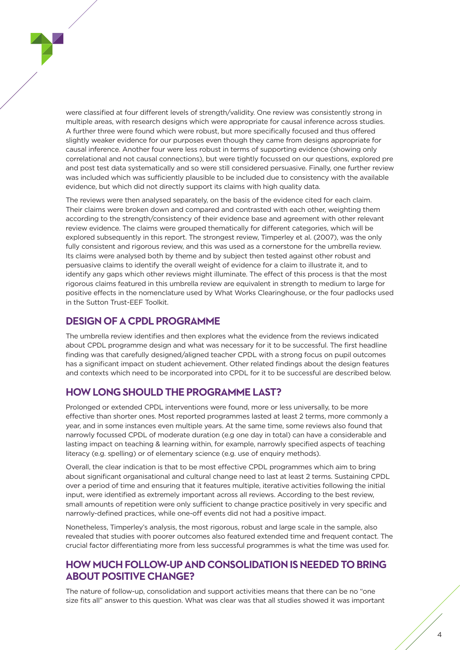were classified at four different levels of strength/validity. One review was consistently strong in multiple areas, with research designs which were appropriate for causal inference across studies. A further three were found which were robust, but more specifically focused and thus offered slightly weaker evidence for our purposes even though they came from designs appropriate for causal inference. Another four were less robust in terms of supporting evidence (showing only correlational and not causal connections), but were tightly focussed on our questions, explored pre and post test data systematically and so were still considered persuasive. Finally, one further review was included which was sufficiently plausible to be included due to consistency with the available evidence, but which did not directly support its claims with high quality data.

The reviews were then analysed separately, on the basis of the evidence cited for each claim. Their claims were broken down and compared and contrasted with each other, weighting them according to the strength/consistency of their evidence base and agreement with other relevant review evidence. The claims were grouped thematically for different categories, which will be explored subsequently in this report. The strongest review, Timperley et al. (2007), was the only fully consistent and rigorous review, and this was used as a cornerstone for the umbrella review. Its claims were analysed both by theme and by subject then tested against other robust and persuasive claims to identify the overall weight of evidence for a claim to illustrate it, and to identify any gaps which other reviews might illuminate. The effect of this process is that the most rigorous claims featured in this umbrella review are equivalent in strength to medium to large for positive effects in the nomenclature used by What Works Clearinghouse, or the four padlocks used in the Sutton Trust-EEF Toolkit.

#### **DESIGN OF A CPDL PROGRAMME**

The umbrella review identifies and then explores what the evidence from the reviews indicated about CPDL programme design and what was necessary for it to be successful. The first headline finding was that carefully designed/aligned teacher CPDL with a strong focus on pupil outcomes has a significant impact on student achievement. Other related findings about the design features and contexts which need to be incorporated into CPDL for it to be successful are described below.

#### **HOW LONG SHOULD THE PROGRAMME LAST?**

Prolonged or extended CPDL interventions were found, more or less universally, to be more effective than shorter ones. Most reported programmes lasted at least 2 terms, more commonly a year, and in some instances even multiple years. At the same time, some reviews also found that narrowly focussed CPDL of moderate duration (e.g one day in total) can have a considerable and lasting impact on teaching & learning within, for example, narrowly specified aspects of teaching literacy (e.g. spelling) or of elementary science (e.g. use of enquiry methods).

Overall, the clear indication is that to be most effective CPDL programmes which aim to bring about significant organisational and cultural change need to last at least 2 terms. Sustaining CPDL over a period of time and ensuring that it features multiple, iterative activities following the initial input, were identified as extremely important across all reviews. According to the best review, small amounts of repetition were only sufficient to change practice positively in very specific and narrowly-defined practices, while one-off events did not had a positive impact.

Nonetheless, Timperley's analysis, the most rigorous, robust and large scale in the sample, also revealed that studies with poorer outcomes also featured extended time and frequent contact. The crucial factor differentiating more from less successful programmes is what the time was used for.

#### **HOW MUCH FOLLOW-UP AND CONSOLIDATION IS NEEDED TO BRING ABOUT POSITIVE CHANGE?**

The nature of follow-up, consolidation and support activities means that there can be no "one size fits all" answer to this question. What was clear was that all studies showed it was important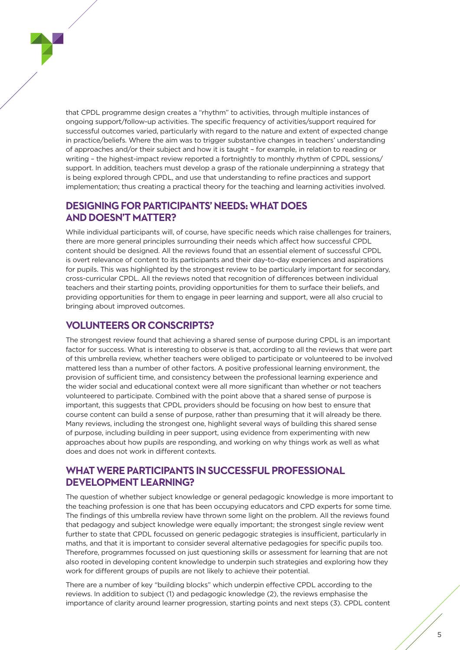that CPDL programme design creates a "rhythm" to activities, through multiple instances of ongoing support/follow-up activities. The specific frequency of activities/support required for successful outcomes varied, particularly with regard to the nature and extent of expected change in practice/beliefs. Where the aim was to trigger substantive changes in teachers' understanding of approaches and/or their subject and how it is taught – for example, in relation to reading or writing – the highest-impact review reported a fortnightly to monthly rhythm of CPDL sessions/ support. In addition, teachers must develop a grasp of the rationale underpinning a strategy that is being explored through CPDL, and use that understanding to refine practices and support implementation; thus creating a practical theory for the teaching and learning activities involved.

#### **DESIGNING FOR PARTICIPANTS' NEEDS: WHAT DOES AND DOESN'T MATTER?**

While individual participants will, of course, have specific needs which raise challenges for trainers, there are more general principles surrounding their needs which affect how successful CPDL content should be designed. All the reviews found that an essential element of successful CPDL is overt relevance of content to its participants and their day-to-day experiences and aspirations for pupils. This was highlighted by the strongest review to be particularly important for secondary, cross-curricular CPDL. All the reviews noted that recognition of differences between individual teachers and their starting points, providing opportunities for them to surface their beliefs, and providing opportunities for them to engage in peer learning and support, were all also crucial to bringing about improved outcomes.

#### **VOLUNTEERS OR CONSCRIPTS?**

The strongest review found that achieving a shared sense of purpose during CPDL is an important factor for success. What is interesting to observe is that, according to all the reviews that were part of this umbrella review, whether teachers were obliged to participate or volunteered to be involved mattered less than a number of other factors. A positive professional learning environment, the provision of sufficient time, and consistency between the professional learning experience and the wider social and educational context were all more significant than whether or not teachers volunteered to participate. Combined with the point above that a shared sense of purpose is important, this suggests that CPDL providers should be focusing on how best to ensure that course content can build a sense of purpose, rather than presuming that it will already be there. Many reviews, including the strongest one, highlight several ways of building this shared sense of purpose, including building in peer support, using evidence from experimenting with new approaches about how pupils are responding, and working on why things work as well as what does and does not work in different contexts.

#### **WHAT WERE PARTICIPANTS IN SUCCESSFUL PROFESSIONAL DEVELOPMENT LEARNING?**

The question of whether subject knowledge or general pedagogic knowledge is more important to the teaching profession is one that has been occupying educators and CPD experts for some time. The findings of this umbrella review have thrown some light on the problem. All the reviews found that pedagogy and subject knowledge were equally important; the strongest single review went further to state that CPDL focussed on generic pedagogic strategies is insufficient, particularly in maths, and that it is important to consider several alternative pedagogies for specific pupils too. Therefore, programmes focussed on just questioning skills or assessment for learning that are not also rooted in developing content knowledge to underpin such strategies and exploring how they work for different groups of pupils are not likely to achieve their potential.

There are a number of key "building blocks" which underpin effective CPDL according to the reviews. In addition to subject (1) and pedagogic knowledge (2), the reviews emphasise the importance of clarity around learner progression, starting points and next steps (3). CPDL content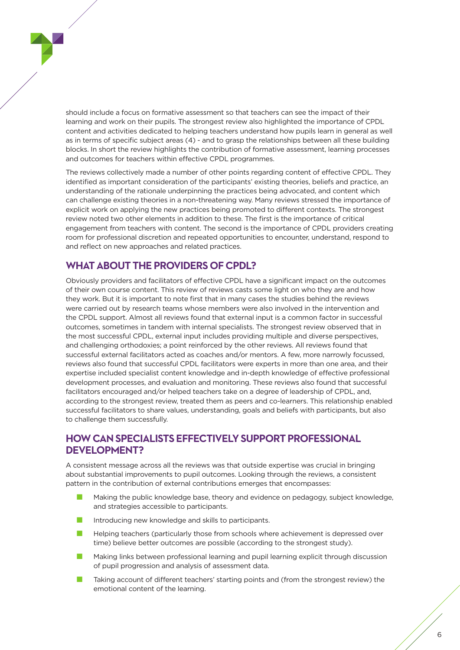should include a focus on formative assessment so that teachers can see the impact of their learning and work on their pupils. The strongest review also highlighted the importance of CPDL content and activities dedicated to helping teachers understand how pupils learn in general as well as in terms of specific subject areas (4) - and to grasp the relationships between all these building blocks. In short the review highlights the contribution of formative assessment, learning processes and outcomes for teachers within effective CPDL programmes.

The reviews collectively made a number of other points regarding content of effective CPDL. They identified as important consideration of the participants' existing theories, beliefs and practice, an understanding of the rationale underpinning the practices being advocated, and content which can challenge existing theories in a non-threatening way. Many reviews stressed the importance of explicit work on applying the new practices being promoted to different contexts. The strongest review noted two other elements in addition to these. The first is the importance of critical engagement from teachers with content. The second is the importance of CPDL providers creating room for professional discretion and repeated opportunities to encounter, understand, respond to and reflect on new approaches and related practices.

#### **WHAT ABOUT THE PROVIDERS OF CPDL?**

Obviously providers and facilitators of effective CPDL have a significant impact on the outcomes of their own course content. This review of reviews casts some light on who they are and how they work. But it is important to note first that in many cases the studies behind the reviews were carried out by research teams whose members were also involved in the intervention and the CPDL support. Almost all reviews found that external input is a common factor in successful outcomes, sometimes in tandem with internal specialists. The strongest review observed that in the most successful CPDL, external input includes providing multiple and diverse perspectives, and challenging orthodoxies; a point reinforced by the other reviews. All reviews found that successful external facilitators acted as coaches and/or mentors. A few, more narrowly focussed, reviews also found that successful CPDL facilitators were experts in more than one area, and their expertise included specialist content knowledge and in-depth knowledge of effective professional development processes, and evaluation and monitoring. These reviews also found that successful facilitators encouraged and/or helped teachers take on a degree of leadership of CPDL, and, according to the strongest review, treated them as peers and co-learners. This relationship enabled successful facilitators to share values, understanding, goals and beliefs with participants, but also to challenge them successfully.

#### **HOW CAN SPECIALISTS EFFECTIVELY SUPPORT PROFESSIONAL DEVELOPMENT?**

A consistent message across all the reviews was that outside expertise was crucial in bringing about substantial improvements to pupil outcomes. Looking through the reviews, a consistent pattern in the contribution of external contributions emerges that encompasses:

- n Making the public knowledge base, theory and evidence on pedagogy, subject knowledge, and strategies accessible to participants.
- Introducing new knowledge and skills to participants.
- n Helping teachers (particularly those from schools where achievement is depressed over time) believe better outcomes are possible (according to the strongest study).
- n Making links between professional learning and pupil learning explicit through discussion of pupil progression and analysis of assessment data.
- Taking account of different teachers' starting points and (from the strongest review) the emotional content of the learning.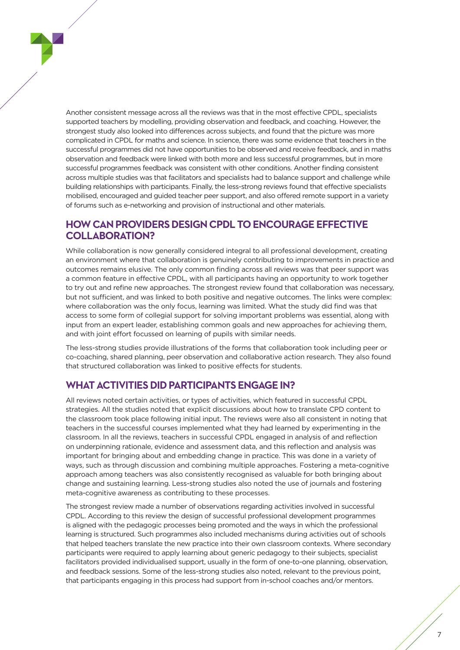Another consistent message across all the reviews was that in the most effective CPDL, specialists supported teachers by modelling, providing observation and feedback, and coaching. However, the strongest study also looked into differences across subjects, and found that the picture was more complicated in CPDL for maths and science. In science, there was some evidence that teachers in the successful programmes did not have opportunities to be observed and receive feedback, and in maths observation and feedback were linked with both more and less successful programmes, but in more successful programmes feedback was consistent with other conditions. Another finding consistent across multiple studies was that facilitators and specialists had to balance support and challenge while building relationships with participants. Finally, the less-strong reviews found that effective specialists mobilised, encouraged and guided teacher peer support, and also offered remote support in a variety of forums such as e-networking and provision of instructional and other materials.

#### **HOW CAN PROVIDERS DESIGN CPDL TO ENCOURAGE EFFECTIVE COLLABORATION?**

While collaboration is now generally considered integral to all professional development, creating an environment where that collaboration is genuinely contributing to improvements in practice and outcomes remains elusive. The only common finding across all reviews was that peer support was a common feature in effective CPDL, with all participants having an opportunity to work together to try out and refine new approaches. The strongest review found that collaboration was necessary, but not sufficient, and was linked to both positive and negative outcomes. The links were complex: where collaboration was the only focus, learning was limited. What the study did find was that access to some form of collegial support for solving important problems was essential, along with input from an expert leader, establishing common goals and new approaches for achieving them, and with joint effort focussed on learning of pupils with similar needs.

The less-strong studies provide illustrations of the forms that collaboration took including peer or co-coaching, shared planning, peer observation and collaborative action research. They also found that structured collaboration was linked to positive effects for students.

#### **WHAT ACTIVITIES DID PARTICIPANTS ENGAGE IN?**

All reviews noted certain activities, or types of activities, which featured in successful CPDL strategies. All the studies noted that explicit discussions about how to translate CPD content to the classroom took place following initial input. The reviews were also all consistent in noting that teachers in the successful courses implemented what they had learned by experimenting in the classroom. In all the reviews, teachers in successful CPDL engaged in analysis of and reflection on underpinning rationale, evidence and assessment data, and this reflection and analysis was important for bringing about and embedding change in practice. This was done in a variety of ways, such as through discussion and combining multiple approaches. Fostering a meta-cognitive approach among teachers was also consistently recognised as valuable for both bringing about change and sustaining learning. Less-strong studies also noted the use of journals and fostering meta-cognitive awareness as contributing to these processes.

The strongest review made a number of observations regarding activities involved in successful CPDL. According to this review the design of successful professional development programmes is aligned with the pedagogic processes being promoted and the ways in which the professional learning is structured. Such programmes also included mechanisms during activities out of schools that helped teachers translate the new practice into their own classroom contexts. Where secondary participants were required to apply learning about generic pedagogy to their subjects, specialist facilitators provided individualised support, usually in the form of one-to-one planning, observation, and feedback sessions. Some of the less-strong studies also noted, relevant to the previous point, that participants engaging in this process had support from in-school coaches and/or mentors.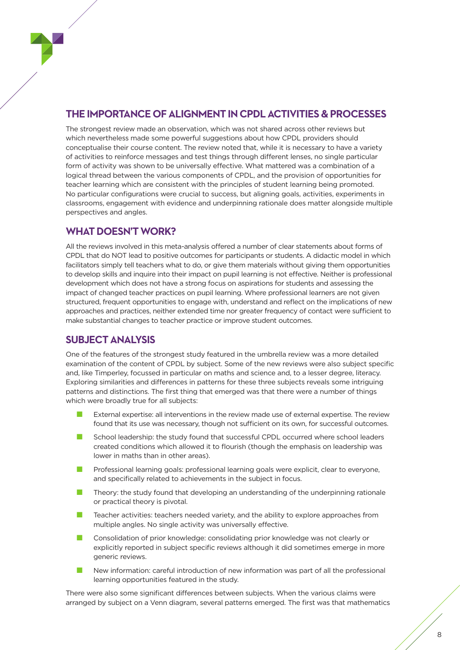#### **THE IMPORTANCE OF ALIGNMENT IN CPDL ACTIVITIES & PROCESSES**

The strongest review made an observation, which was not shared across other reviews but which nevertheless made some powerful suggestions about how CPDL providers should conceptualise their course content. The review noted that, while it is necessary to have a variety of activities to reinforce messages and test things through different lenses, no single particular form of activity was shown to be universally effective. What mattered was a combination of a logical thread between the various components of CPDL, and the provision of opportunities for teacher learning which are consistent with the principles of student learning being promoted. No particular configurations were crucial to success, but aligning goals, activities, experiments in classrooms, engagement with evidence and underpinning rationale does matter alongside multiple perspectives and angles.

#### **WHAT DOESN'T WORK?**

All the reviews involved in this meta-analysis offered a number of clear statements about forms of CPDL that do NOT lead to positive outcomes for participants or students. A didactic model in which facilitators simply tell teachers what to do, or give them materials without giving them opportunities to develop skills and inquire into their impact on pupil learning is not effective. Neither is professional development which does not have a strong focus on aspirations for students and assessing the impact of changed teacher practices on pupil learning. Where professional learners are not given structured, frequent opportunities to engage with, understand and reflect on the implications of new approaches and practices, neither extended time nor greater frequency of contact were sufficient to make substantial changes to teacher practice or improve student outcomes.

#### **SUBJECT ANALYSIS**

One of the features of the strongest study featured in the umbrella review was a more detailed examination of the content of CPDL by subject. Some of the new reviews were also subject specific and, like Timperley, focussed in particular on maths and science and, to a lesser degree, literacy. Exploring similarities and differences in patterns for these three subjects reveals some intriguing patterns and distinctions. The first thing that emerged was that there were a number of things which were broadly true for all subjects:

- External expertise: all interventions in the review made use of external expertise. The review found that its use was necessary, though not sufficient on its own, for successful outcomes.
- School leadership: the study found that successful CPDL occurred where school leaders created conditions which allowed it to flourish (though the emphasis on leadership was lower in maths than in other areas).
- **n** Professional learning goals: professional learning goals were explicit, clear to everyone, and specifically related to achievements in the subject in focus.
- Theory: the study found that developing an understanding of the underpinning rationale or practical theory is pivotal.
- Teacher activities: teachers needed variety, and the ability to explore approaches from multiple angles. No single activity was universally effective.
- Consolidation of prior knowledge: consolidating prior knowledge was not clearly or explicitly reported in subject specific reviews although it did sometimes emerge in more generic reviews.
- n New information: careful introduction of new information was part of all the professional learning opportunities featured in the study.

There were also some significant differences between subjects. When the various claims were arranged by subject on a Venn diagram, several patterns emerged. The first was that mathematics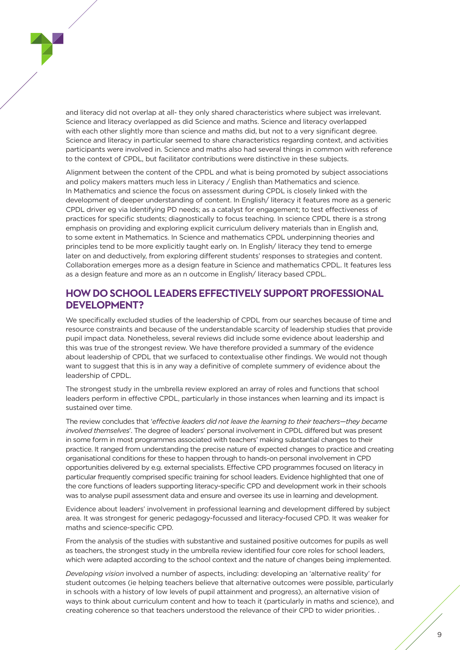and literacy did not overlap at all- they only shared characteristics where subject was irrelevant. Science and literacy overlapped as did Science and maths. Science and literacy overlapped with each other slightly more than science and maths did, but not to a very significant degree. Science and literacy in particular seemed to share characteristics regarding context, and activities participants were involved in. Science and maths also had several things in common with reference to the context of CPDL, but facilitator contributions were distinctive in these subjects.

Alignment between the content of the CPDL and what is being promoted by subject associations and policy makers matters much less in Literacy / English than Mathematics and science. In Mathematics and science the focus on assessment during CPDL is closely linked with the development of deeper understanding of content. In English/ literacy it features more as a generic CPDL driver eg via Identifying PD needs; as a catalyst for engagement; to test effectiveness of practices for specific students; diagnostically to focus teaching. In science CPDL there is a strong emphasis on providing and exploring explicit curriculum delivery materials than in English and, to some extent in Mathematics. In Science and mathematics CPDL underpinning theories and principles tend to be more explicitly taught early on. In English/ literacy they tend to emerge later on and deductively, from exploring different students' responses to strategies and content. Collaboration emerges more as a design feature in Science and mathematics CPDL. It features less as a design feature and more as an n outcome in English/ literacy based CPDL.

#### **HOW DO SCHOOL LEADERS EFFECTIVELY SUPPORT PROFESSIONAL DEVELOPMENT?**

We specifically excluded studies of the leadership of CPDL from our searches because of time and resource constraints and because of the understandable scarcity of leadership studies that provide pupil impact data. Nonetheless, several reviews did include some evidence about leadership and this was true of the strongest review. We have therefore provided a summary of the evidence about leadership of CPDL that we surfaced to contextualise other findings. We would not though want to suggest that this is in any way a definitive of complete summery of evidence about the leadership of CPDL.

The strongest study in the umbrella review explored an array of roles and functions that school leaders perform in effective CPDL, particularly in those instances when learning and its impact is sustained over time.

The review concludes that '*effective leaders did not leave the learning to their teachers—they became involved themselves*'. The degree of leaders' personal involvement in CPDL differed but was present in some form in most programmes associated with teachers' making substantial changes to their practice. It ranged from understanding the precise nature of expected changes to practice and creating organisational conditions for these to happen through to hands-on personal involvement in CPD opportunities delivered by e.g. external specialists. Effective CPD programmes focused on literacy in particular frequently comprised specific training for school leaders. Evidence highlighted that one of the core functions of leaders supporting literacy-specific CPD and development work in their schools was to analyse pupil assessment data and ensure and oversee its use in learning and development.

Evidence about leaders' involvement in professional learning and development differed by subject area. It was strongest for generic pedagogy-focussed and literacy-focused CPD. It was weaker for maths and science-specific CPD.

From the analysis of the studies with substantive and sustained positive outcomes for pupils as well as teachers, the strongest study in the umbrella review identified four core roles for school leaders, which were adapted according to the school context and the nature of changes being implemented.

*Developing vision* involved a number of aspects, including: developing an 'alternative reality' for student outcomes (ie helping teachers believe that alternative outcomes were possible, particularly in schools with a history of low levels of pupil attainment and progress), an alternative vision of ways to think about curriculum content and how to teach it (particularly in maths and science), and creating coherence so that teachers understood the relevance of their CPD to wider priorities. .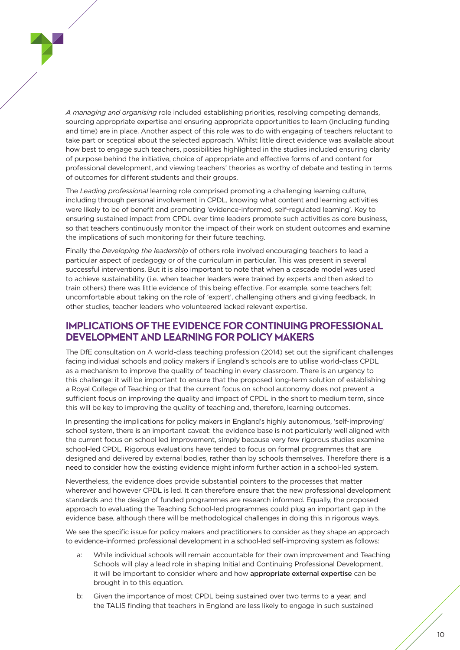*A managing and organising* role included establishing priorities, resolving competing demands, sourcing appropriate expertise and ensuring appropriate opportunities to learn (including funding and time) are in place. Another aspect of this role was to do with engaging of teachers reluctant to take part or sceptical about the selected approach. Whilst little direct evidence was available about how best to engage such teachers, possibilities highlighted in the studies included ensuring clarity of purpose behind the initiative, choice of appropriate and effective forms of and content for professional development, and viewing teachers' theories as worthy of debate and testing in terms of outcomes for different students and their groups.

The *Leading professional* learning role comprised promoting a challenging learning culture, including through personal involvement in CPDL, knowing what content and learning activities were likely to be of benefit and promoting 'evidence-informed, self-regulated learning'. Key to ensuring sustained impact from CPDL over time leaders promote such activities as core business, so that teachers continuously monitor the impact of their work on student outcomes and examine the implications of such monitoring for their future teaching.

Finally the *Developing the leadership* of others role involved encouraging teachers to lead a particular aspect of pedagogy or of the curriculum in particular. This was present in several successful interventions. But it is also important to note that when a cascade model was used to achieve sustainability (i.e. when teacher leaders were trained by experts and then asked to train others) there was little evidence of this being effective. For example, some teachers felt uncomfortable about taking on the role of 'expert', challenging others and giving feedback. In other studies, teacher leaders who volunteered lacked relevant expertise.

#### **IMPLICATIONS OF THE EVIDENCE FOR CONTINUING PROFESSIONAL DEVELOPMENT AND LEARNING FOR POLICY MAKERS**

The DfE consultation on A world-class teaching profession (2014) set out the significant challenges facing individual schools and policy makers if England's schools are to utilise world-class CPDL as a mechanism to improve the quality of teaching in every classroom. There is an urgency to this challenge: it will be important to ensure that the proposed long-term solution of establishing a Royal College of Teaching or that the current focus on school autonomy does not prevent a sufficient focus on improving the quality and impact of CPDL in the short to medium term, since this will be key to improving the quality of teaching and, therefore, learning outcomes.

In presenting the implications for policy makers in England's highly autonomous, 'self-improving' school system, there is an important caveat: the evidence base is not particularly well aligned with the current focus on school led improvement, simply because very few rigorous studies examine school-led CPDL. Rigorous evaluations have tended to focus on formal programmes that are designed and delivered by external bodies, rather than by schools themselves. Therefore there is a need to consider how the existing evidence might inform further action in a school-led system.

Nevertheless, the evidence does provide substantial pointers to the processes that matter wherever and however CPDL is led. It can therefore ensure that the new professional development standards and the design of funded programmes are research informed. Equally, the proposed approach to evaluating the Teaching School-led programmes could plug an important gap in the evidence base, although there will be methodological challenges in doing this in rigorous ways.

We see the specific issue for policy makers and practitioners to consider as they shape an approach to evidence-informed professional development in a school-led self-improving system as follows:

- a: While individual schools will remain accountable for their own improvement and Teaching Schools will play a lead role in shaping Initial and Continuing Professional Development, it will be important to consider where and how appropriate external expertise can be brought in to this equation.
- b: Given the importance of most CPDL being sustained over two terms to a year, and the TALIS finding that teachers in England are less likely to engage in such sustained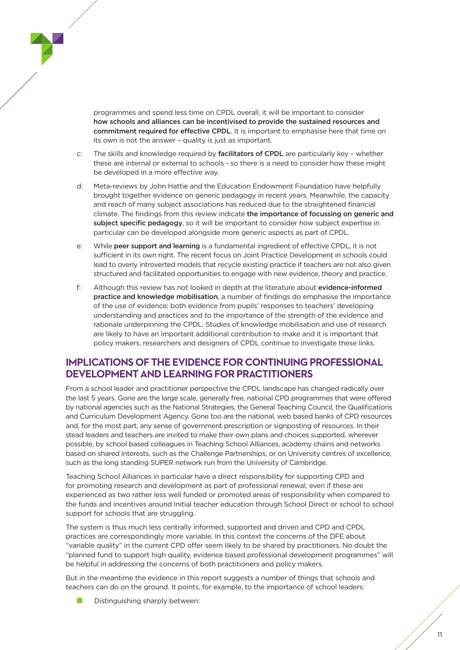

programmes and spend less time on CPDL overall, it will be important to consider how schools and alliances can be incentivised to provide the sustained resources and commitment required for effective CPDL. It is important to emphasise here that time on its own is not the answer – quality is just as important.

- c: The skills and knowledge required by facilitators of CPDL are particularly key whether these are internal or external to schools - so there is a need to consider how these might be developed in a more effective way.
- d: Meta-reviews by John Hattie and the Education Endowment Foundation have helpfully brought together evidence on generic pedagogy in recent years. Meanwhile, the capacity and reach of many subject associations has reduced due to the straightened financial climate. The findings from this review indicate the importance of focussing on generic and subject specific pedagogy, so it will be important to consider how subject expertise in particular can be developed alongside more generic aspects as part of CPDL.
- e: While peer support and learning is a fundamental ingredient of effective CPDL, it is not sufficient in its own right. The recent focus on Joint Practice Development in schools could lead to overly introverted models that recycle existing practice if teachers are not also given structured and facilitated opportunities to engage with new evidence, theory and practice.
- f: Although this review has not looked in depth at the literature about evidence-informed practice and knowledge mobilisation, a number of findings do emphasise the importance of the use of evidence; both evidence from pupils' responses to teachers' developing understanding and practices and to the importance of the strength of the evidence and rationale underpinning the CPDL. Studies of knowledge mobilisation and use of research are likely to have an important additional contribution to make and it is important that policy makers, researchers and designers of CPDL continue to investigate these links.

#### **IMPLICATIONS OF THE EVIDENCE FOR CONTINUING PROFESSIONAL DEVELOPMENT AND LEARNING FOR PRACTITIONERS**

From a school leader and practitioner perspective the CPDL landscape has changed radically over the last 5 years. Gone are the large scale, generally free, national CPD programmes that were offered by national agencies such as the National Strategies, the General Teaching Council, the Qualifications and Curriculum Development Agency. Gone too are the national, web based banks of CPD resources and, for the most part, any sense of government prescription or signposting of resources. In their stead leaders and teachers are invited to make their own plans and choices supported, wherever possible, by school based colleagues in Teaching School Alliances, academy chains and networks based on shared interests, such as the Challenge Partnerships, or on University centres of excellence, such as the long standing SUPER network run from the University of Cambridge.

Teaching School Alliances in particular have a direct responsibility for supporting CPD and for promoting research and development as part of professional renewal, even if these are experienced as two rather less well funded or promoted areas of responsibility when compared to the funds and incentives around Initial teacher education through School Direct or school to school support for schools that are struggling.

The system is thus much less centrally informed, supported and driven and CPD and CPDL practices are correspondingly more variable. In this context the concerns of the DFE about "variable quality" in the current CPD offer seem likely to be shared by practitioners. No doubt the "planned fund to support high quality, evidence based professional development programmes" will be helpful in addressing the concerns of both practitioners and policy makers.

But in the meantime the evidence in this report suggests a number of things that schools and teachers can do on the ground. It points, for example, to the importance of school leaders:

Distinguishing sharply between: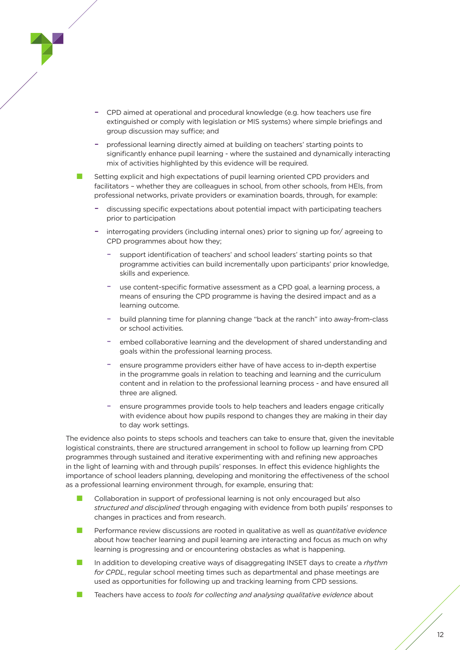

- CPD aimed at operational and procedural knowledge (e.g. how teachers use fire extinguished or comply with legislation or MIS systems) where simple briefings and group discussion may suffice; and
- professional learning directly aimed at building on teachers' starting points to significantly enhance pupil learning - where the sustained and dynamically interacting mix of activities highlighted by this evidence will be required.

Setting explicit and high expectations of pupil learning oriented CPD providers and facilitators – whether they are colleagues in school, from other schools, from HEIs, from professional networks, private providers or examination boards, through, for example:

- discussing specific expectations about potential impact with participating teachers prior to participation
- interrogating providers (including internal ones) prior to signing up for/ agreeing to CPD programmes about how they;
	- support identification of teachers' and school leaders' starting points so that programme activities can build incrementally upon participants' prior knowledge, skills and experience.
	- use content-specific formative assessment as a CPD goal, a learning process, a means of ensuring the CPD programme is having the desired impact and as a learning outcome.
	- build planning time for planning change "back at the ranch" into away-from-class or school activities.
	- embed collaborative learning and the development of shared understanding and goals within the professional learning process.
	- ensure programme providers either have of have access to in-depth expertise in the programme goals in relation to teaching and learning and the curriculum content and in relation to the professional learning process - and have ensured all three are aligned.
	- ensure programmes provide tools to help teachers and leaders engage critically with evidence about how pupils respond to changes they are making in their day to day work settings.

The evidence also points to steps schools and teachers can take to ensure that, given the inevitable logistical constraints, there are structured arrangement in school to follow up learning from CPD programmes through sustained and iterative experimenting with and refining new approaches in the light of learning with and through pupils' responses. In effect this evidence highlights the importance of school leaders planning, developing and monitoring the effectiveness of the school as a professional learning environment through, for example, ensuring that:

- Collaboration in support of professional learning is not only encouraged but also *structured and disciplined* through engaging with evidence from both pupils' responses to changes in practices and from research.
- n Performance review discussions are rooted in qualitative as well as *quantitative evidence* about how teacher learning and pupil learning are interacting and focus as much on why learning is progressing and or encountering obstacles as what is happening.
- n In addition to developing creative ways of disaggregating INSET days to create a *rhythm for CPDL*, regular school meeting times such as departmental and phase meetings are used as opportunities for following up and tracking learning from CPD sessions.
- n Teachers have access to *tools for collecting and analysing qualitative evidence* about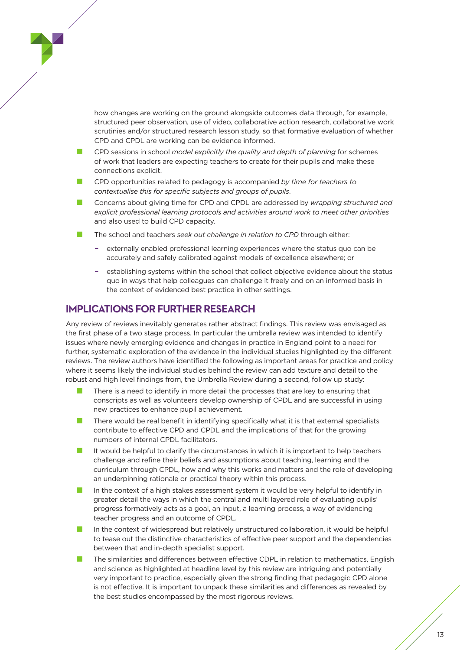how changes are working on the ground alongside outcomes data through, for example, structured peer observation, use of video, collaborative action research, collaborative work scrutinies and/or structured research lesson study, so that formative evaluation of whether CPD and CPDL are working can be evidence informed.

- n CPD sessions in school *model explicitly the quality and depth of planning* for schemes of work that leaders are expecting teachers to create for their pupils and make these connections explicit.
- n CPD opportunities related to pedagogy is accompanied *by time for teachers to contextualise this for specific subjects and groups of pupils*.
- n Concerns about giving time for CPD and CPDL are addressed by *wrapping structured and explicit professional learning protocols and activities around work to meet other priorities* and also used to build CPD capacity.
- The school and teachers *seek out challenge in relation to CPD* through either:
	- externally enabled professional learning experiences where the status quo can be accurately and safely calibrated against models of excellence elsewhere; or
	- establishing systems within the school that collect objective evidence about the status quo in ways that help colleagues can challenge it freely and on an informed basis in the context of evidenced best practice in other settings.

#### **IMPLICATIONS FOR FURTHER RESEARCH**

Any review of reviews inevitably generates rather abstract findings. This review was envisaged as the first phase of a two stage process. In particular the umbrella review was intended to identify issues where newly emerging evidence and changes in practice in England point to a need for further, systematic exploration of the evidence in the individual studies highlighted by the different reviews. The review authors have identified the following as important areas for practice and policy where it seems likely the individual studies behind the review can add texture and detail to the robust and high level findings from, the Umbrella Review during a second, follow up study:

- There is a need to identify in more detail the processes that are key to ensuring that conscripts as well as volunteers develop ownership of CPDL and are successful in using new practices to enhance pupil achievement.
- There would be real benefit in identifying specifically what it is that external specialists contribute to effective CPD and CPDL and the implications of that for the growing numbers of internal CPDL facilitators.
- It would be helpful to clarify the circumstances in which it is important to help teachers challenge and refine their beliefs and assumptions about teaching, learning and the curriculum through CPDL, how and why this works and matters and the role of developing an underpinning rationale or practical theory within this process.
- n In the context of a high stakes assessment system it would be very helpful to identify in greater detail the ways in which the central and multi layered role of evaluating pupils' progress formatively acts as a goal, an input, a learning process, a way of evidencing teacher progress and an outcome of CPDL.
- n In the context of widespread but relatively unstructured collaboration, it would be helpful to tease out the distinctive characteristics of effective peer support and the dependencies between that and in-depth specialist support.
- The similarities and differences between effective CDPL in relation to mathematics, English and science as highlighted at headline level by this review are intriguing and potentially very important to practice, especially given the strong finding that pedagogic CPD alone is not effective. It is important to unpack these similarities and differences as revealed by the best studies encompassed by the most rigorous reviews.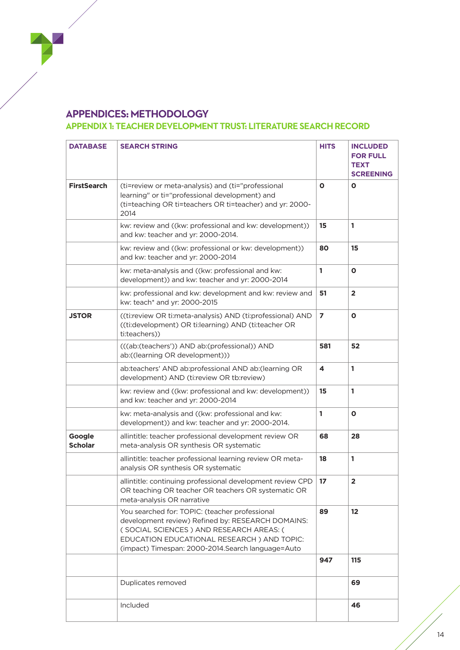#### **APPENDICES: METHODOLOGY**

#### **APPENDIX 1: TEACHER DEVELOPMENT TRUST: LITERATURE SEARCH RECORD**

| <b>DATABASE</b>          | <b>SEARCH STRING</b>                                                                                                                                                                                                                               | <b>HITS</b>    | <b>INCLUDED</b><br><b>FOR FULL</b><br><b>TEXT</b><br><b>SCREENING</b> |
|--------------------------|----------------------------------------------------------------------------------------------------------------------------------------------------------------------------------------------------------------------------------------------------|----------------|-----------------------------------------------------------------------|
| <b>FirstSearch</b>       | (ti=review or meta-analysis) and (ti="professional<br>learning" or ti="professional development) and<br>(ti=teaching OR ti=teachers OR ti=teacher) and yr: 2000-<br>2014                                                                           | 0              | O                                                                     |
|                          | kw: review and ((kw: professional and kw: development))<br>and kw: teacher and yr: 2000-2014.                                                                                                                                                      | 15             | 1                                                                     |
|                          | kw: review and ((kw: professional or kw: development))<br>and kw: teacher and yr: 2000-2014                                                                                                                                                        | 80             | 15                                                                    |
|                          | kw: meta-analysis and ((kw: professional and kw:<br>development)) and kw: teacher and yr: 2000-2014                                                                                                                                                | 1              | $\mathbf{o}$                                                          |
|                          | kw: professional and kw: development and kw: review and<br>kw: teach* and yr: 2000-2015                                                                                                                                                            | 51             | $\overline{\mathbf{2}}$                                               |
| <b>JSTOR</b>             | ((ti:review OR ti:meta-analysis) AND (ti:professional) AND<br>((ti:development) OR ti:learning) AND (ti:teacher OR<br>ti:teachers))                                                                                                                | $\overline{ }$ | $\mathbf{o}$                                                          |
|                          | (((ab:(teachers')) AND ab:(professional)) AND<br>ab:((learning OR development)))                                                                                                                                                                   | 581            | 52                                                                    |
|                          | ab:teachers' AND ab:professional AND ab:(learning OR<br>development) AND (ti:review OR tb:review)                                                                                                                                                  | 4              | 1                                                                     |
|                          | kw: review and ((kw: professional and kw: development))<br>and kw: teacher and yr: 2000-2014                                                                                                                                                       | 15             | 1                                                                     |
|                          | kw: meta-analysis and ((kw: professional and kw:<br>development)) and kw: teacher and yr: 2000-2014.                                                                                                                                               | 1              | O                                                                     |
| Google<br><b>Scholar</b> | allintitle: teacher professional development review OR<br>meta-analysis OR synthesis OR systematic                                                                                                                                                 | 68             | 28                                                                    |
|                          | allintitle: teacher professional learning review OR meta-<br>analysis OR synthesis OR systematic                                                                                                                                                   | 18             | 1                                                                     |
|                          | allintitle: continuing professional development review CPD<br>OR teaching OR teacher OR teachers OR systematic OR<br>meta-analysis OR narrative                                                                                                    | 17             | $\overline{2}$                                                        |
|                          | You searched for: TOPIC: (teacher professional<br>development review) Refined by: RESEARCH DOMAINS:<br>(SOCIAL SCIENCES) AND RESEARCH AREAS: (<br>EDUCATION EDUCATIONAL RESEARCH) AND TOPIC:<br>(impact) Timespan: 2000-2014. Search language=Auto | 89             | 12                                                                    |
|                          |                                                                                                                                                                                                                                                    | 947            | 115                                                                   |
|                          | Duplicates removed                                                                                                                                                                                                                                 |                | 69                                                                    |
|                          | Included                                                                                                                                                                                                                                           |                | 46                                                                    |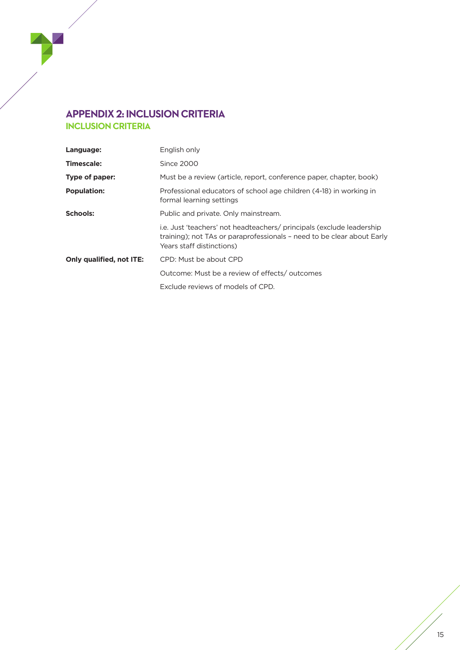#### **APPENDIX 2: INCLUSION CRITERIA INCLUSION CRITERIA**

| Language:                       | English only                                                                                                                                                                 |
|---------------------------------|------------------------------------------------------------------------------------------------------------------------------------------------------------------------------|
| <b>Timescale:</b>               | Since 2000                                                                                                                                                                   |
| Type of paper:                  | Must be a review (article, report, conference paper, chapter, book)                                                                                                          |
| <b>Population:</b>              | Professional educators of school age children (4-18) in working in<br>formal learning settings                                                                               |
| <b>Schools:</b>                 | Public and private. Only mainstream.                                                                                                                                         |
|                                 | i.e. Just 'teachers' not headteachers/ principals (exclude leadership<br>training); not TAs or paraprofessionals - need to be clear about Early<br>Years staff distinctions) |
| <b>Only qualified, not ITE:</b> | CPD: Must be about CPD                                                                                                                                                       |
|                                 | Outcome: Must be a review of effects/outcomes                                                                                                                                |
|                                 | Exclude reviews of models of CPD.                                                                                                                                            |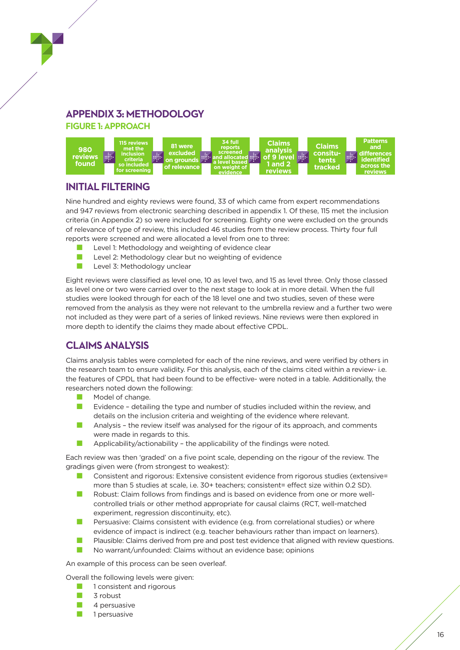# **APPENDIX 3: METHODOLOGY**

**FIGURE 1: APPROACH**



## **INITIAL FILTERING**

Nine hundred and eighty reviews were found, 33 of which came from expert recommendations and 947 reviews from electronic searching described in appendix 1. Of these, 115 met the inclusion criteria (in Appendix 2) so were included for screening. Eighty one were excluded on the grounds of relevance of type of review, this included 46 studies from the review process. Thirty four full reports were screened and were allocated a level from one to three:

- **n** Level 1: Methodology and weighting of evidence clear
- **n** Level 2: Methodology clear but no weighting of evidence
- $\blacksquare$  Level 3: Methodology unclear

Eight reviews were classified as level one, 10 as level two, and 15 as level three. Only those classed as level one or two were carried over to the next stage to look at in more detail. When the full studies were looked through for each of the 18 level one and two studies, seven of these were removed from the analysis as they were not relevant to the umbrella review and a further two were not included as they were part of a series of linked reviews. Nine reviews were then explored in more depth to identify the claims they made about effective CPDL.

### **CLAIMS ANALYSIS**

Claims analysis tables were completed for each of the nine reviews, and were verified by others in the research team to ensure validity. For this analysis, each of the claims cited within a review- i.e. the features of CPDL that had been found to be effective- were noted in a table. Additionally, the researchers noted down the following:

- $\blacksquare$  Model of change.
- **n** Evidence detailing the type and number of studies included within the review, and details on the inclusion criteria and weighting of the evidence where relevant.
- $\blacksquare$  Analysis the review itself was analysed for the rigour of its approach, and comments were made in regards to this.
- **n** Applicability/actionability the applicability of the findings were noted.

Each review was then 'graded' on a five point scale, depending on the rigour of the review. The gradings given were (from strongest to weakest):

- Consistent and rigorous: Extensive consistent evidence from rigorous studies (extensive= more than 5 studies at scale, i.e. 30+ teachers; consistent= effect size within 0.2 SD).
- n Robust: Claim follows from findings and is based on evidence from one or more wellcontrolled trials or other method appropriate for causal claims (RCT, well-matched experiment, regression discontinuity, etc).
- Persuasive: Claims consistent with evidence (e.g. from correlational studies) or where evidence of impact is indirect (e.g. teacher behaviours rather than impact on learners).
- **n** Plausible: Claims derived from pre and post test evidence that aligned with review questions.
- No warrant/unfounded: Claims without an evidence base; opinions

An example of this process can be seen overleaf.

Overall the following levels were given:

- $\blacksquare$  1 consistent and rigorous
- $\Box$  3 robust
- $\Box$  4 persuasive
- $\Box$  1 persuasive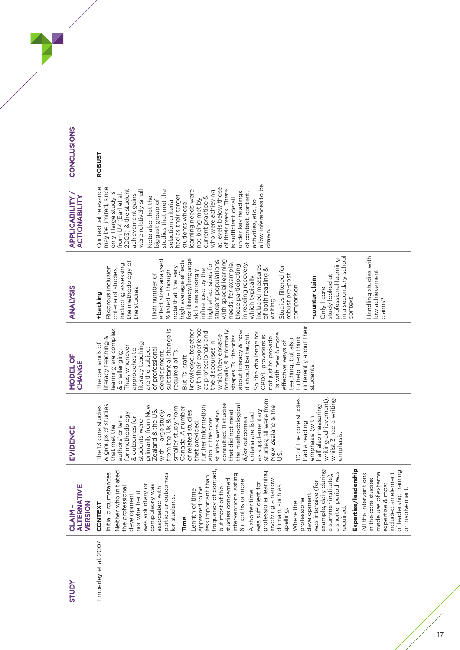| CONCLUSIONS                                    | ROBUST                                                                                                                                                                                                                                                                                                                                                                                                                                                                                                                                                                                                                                                                                                                                                                                                                                                                         |
|------------------------------------------------|--------------------------------------------------------------------------------------------------------------------------------------------------------------------------------------------------------------------------------------------------------------------------------------------------------------------------------------------------------------------------------------------------------------------------------------------------------------------------------------------------------------------------------------------------------------------------------------------------------------------------------------------------------------------------------------------------------------------------------------------------------------------------------------------------------------------------------------------------------------------------------|
| <b>APPLICABILITY</b><br>ACTIONABILITY          | allow inferences to be<br>Contextual relevance<br>may be limited, since<br>at levels below those<br>2003) & the student<br>were relatively small.<br>of their peers. There<br>studies that met the<br>learning needs were<br>who were achieving<br>under key headings<br>only 1 large study is<br>of context, content,<br>from UK (Earl et al.<br>achievement gains<br>had as their target<br>current practice &<br>Note also that the<br>is sufficient detail<br>not being met by<br>biggest group of<br>activities, etc., to<br>selection criteria<br>students whose<br>drawn.                                                                                                                                                                                                                                                                                               |
| <b>ANALYSIS</b>                                | Handling studies with<br>in a secondary school<br>for literacy/language<br>professional learning<br>effect sizes analysed<br>high average effects<br>with special learning<br>student populations<br>the methodology of<br>high effect sizes for<br>in reading recovery,<br>needs, for example,<br>including assessing<br>those participating<br>included measures<br>Studies filtered for<br>Rigorous inclusion<br>note that 'the very<br>criteria of studies,<br>influenced by the<br>of both reading &<br>skills are strongly<br>& listed - though<br>low achievement<br>High number of<br>robust pre-post<br>study looked at<br>which typically<br>-counter claim<br>comparison<br>Only 1 core<br>the studies<br>+backing<br>writing.'<br>context<br>claims?                                                                                                               |
| MODEL OF<br>CHANGE                             | differently about their<br>with their experience<br>substantial change is<br>earning are complex<br>formally & informally,<br>knowledge, together<br>about literacy & how<br>as professionals and<br>So the challenge for<br>Is with new & more<br>it should be taught.<br>which they engage<br>shapes Ts' theories<br>CPD/L providers is<br>not just to provide<br>iteracy teaching &<br>to help them think<br>teaching, but also<br>effective ways of<br>the discourses in<br>literacy teaching<br>The demands of<br>Thus, whenever<br>are the subject<br>of professional<br>approaches to<br>required of Ts.<br>& challenging.<br>development,<br>But Ts' craft<br>students.                                                                                                                                                                                                |
| EVIDENCE                                       | O of the core studies<br>writing achievement),<br>whilst 3 had a writing<br>studies; all were from<br>consulted. 11 studies<br>& groups of studies<br>half also measuring<br>primarily from New<br>he methodological<br><b>New Zealand &amp; the</b><br>he 13 core studies<br>further information<br>smaller study from<br>Canada. A number<br>Zealand & the US,<br>hat did not meet<br>as supplementary<br>with 1 large study<br>of related studies<br>studies were also<br>criteria are listed<br>or methodology<br>rom the UK & a<br>luthors' criteria<br>emphasis (with<br>, outcomes for<br>about the core<br>&/or outcomes<br>tudents were<br>hat provided<br>ad a reading<br>hat met the<br>emphasis.<br>$\overline{Q}$                                                                                                                                                 |
| <b>ALTERNATIVE</b><br>VERSION<br><b>CLAIM-</b> | Expertise/leadership<br>frequency of contact,<br>example, daily during<br>of leadership training<br>Neither who initiated<br>a shorter period was<br>professional learning<br>made use of external<br>included an element<br>nitial circumstances<br>particular outcomes<br>interventions lasting<br>All the interventions<br>a summer institute),<br>less important than<br>involving a narrow<br>in the core studies<br>studies concerned<br>6 months or more.<br>was intensive (for<br>was sufficient for<br>expertise & most<br>compulsory was<br>was voluntary or<br>domain, such as<br>associated with<br>but most of the<br>the professional<br>appeared to be<br>or involvement.<br>Length of time<br>A shorter time<br>nor whether it<br>development<br>development<br>for students.<br>professional<br>Where the<br><b>CONTEXT</b><br>required.<br>spelling.<br>Time |
| <b>AdnlS</b>                                   | Timperley et al. 2007                                                                                                                                                                                                                                                                                                                                                                                                                                                                                                                                                                                                                                                                                                                                                                                                                                                          |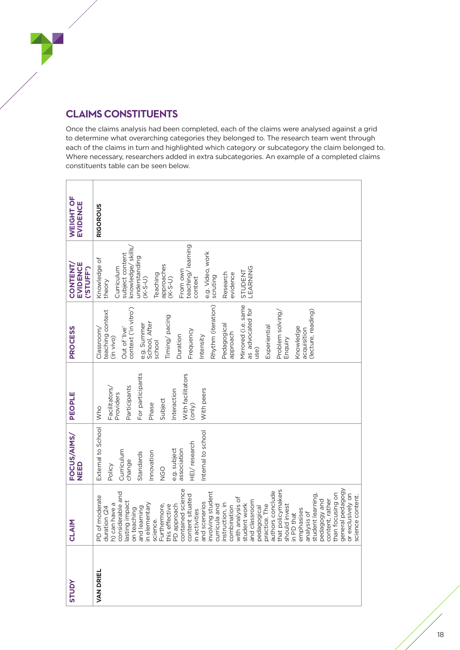# **CLAIMS CONSTITUENTS**

Once the claims analysis had been completed, each of the claims were analysed against a grid to determine what overarching categories they belonged to. The research team went through each of the claims in turn and highlighted which category or subcategory the claim belonged to. Where necessary, researchers added in extra subcategories. An example of a completed claims constituents table can be seen below.

| <b>STUDY</b>     | Σ<br><b>NTO</b>                                                                                                                                                                                                                                                                                                                                                                                                                                                                                                                                                                                                                                                                                 | FOCUS/AIMS/<br>NEED                                                                                                                                                | PEOPLE                                                                                                                                                | <b>PROCESS</b>                                                                                                                                                                                                                                                                                                                                                                             | EVIDENCE<br><b>CONTENT</b><br>('STUFF')                                                                                                                                                                                                                                          | WEIGHT OF<br><b>EVIDENCE</b> |
|------------------|-------------------------------------------------------------------------------------------------------------------------------------------------------------------------------------------------------------------------------------------------------------------------------------------------------------------------------------------------------------------------------------------------------------------------------------------------------------------------------------------------------------------------------------------------------------------------------------------------------------------------------------------------------------------------------------------------|--------------------------------------------------------------------------------------------------------------------------------------------------------------------|-------------------------------------------------------------------------------------------------------------------------------------------------------|--------------------------------------------------------------------------------------------------------------------------------------------------------------------------------------------------------------------------------------------------------------------------------------------------------------------------------------------------------------------------------------------|----------------------------------------------------------------------------------------------------------------------------------------------------------------------------------------------------------------------------------------------------------------------------------|------------------------------|
| <b>VAN DRIEL</b> | contained science<br>that policymakers<br>general pedagogy<br>authors conclude<br>involving student<br>considerable and<br>than focusing on<br>or exclusively on<br>content situated<br>student learning<br>moderate<br>science content.<br>combination<br>with analysis of<br>content, rather<br>and classroom<br>pedagogy and<br>lasting impact<br>and scenarios<br>h) can have a<br>instruction, in<br>student work<br>in elementary<br>curricula and<br>should invest<br>Furthermore,<br>this effective<br>PD approach<br>ice. The<br>pedagogical<br>duration (24<br>and learning<br>on teaching<br>emphasises<br>in activities<br>analysis of<br>in PD that<br>science.<br>PD of<br>practi | External to School<br>Internal to school<br>HEI/research<br>e.g. subject<br>association<br>Curriculum<br>Innovation<br>Standards<br>change<br>Policy<br><b>OPN</b> | For participants<br>With facilitators<br>Participants<br>Facilitators/<br>With peers<br>Interaction<br>Providers<br>Subject<br>Phase<br>(only)<br>Who | Rhythm (iteration)<br>Mirrored (i.e. same<br>context ('in vitro')<br>as advocated for<br>(lecture, reading)<br>teaching context<br>Problem solving/<br>Timing/pacing<br>e.g. Summer<br>School, After<br>school<br>Pedagogical<br>Experiential<br>Out of 'live'<br>Knowledge<br>Classroom/<br>acquisition<br>Frequency<br>approach<br>Duration<br>Intensity<br>(in vivo)<br>Enquiry<br>use) | learning<br>knowledge/skills/<br>e.g. Video, work<br>subject content<br>understanding<br>Knowledge of<br>approaches<br>Curriculum<br>STUDENT<br>LEARNING<br>From own<br>Research<br>teaching/<br>evidence<br>Teaching<br>scruting<br>context<br>$(K-S-U)$<br>$(K-S-U)$<br>theory | <b>RIGOROUS</b>              |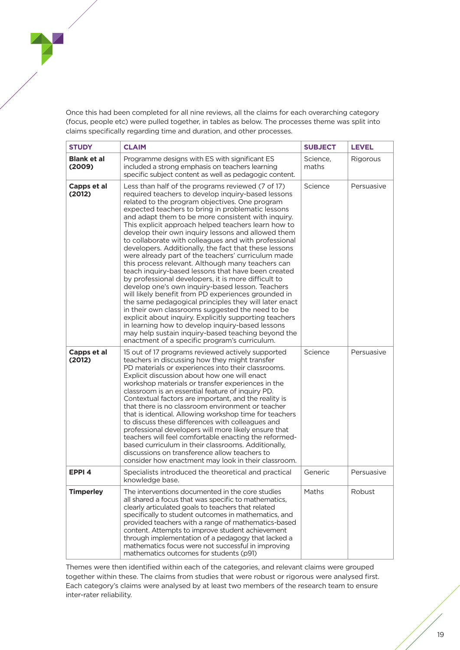Once this had been completed for all nine reviews, all the claims for each overarching category (focus, people etc) were pulled together, in tables as below. The processes theme was split into claims specifically regarding time and duration, and other processes.

| <b>STUDY</b>                 | <b>CLAIM</b>                                                                                                                                                                                                                                                                                                                                                                                                                                                                                                                                                                                                                                                                                                                                                                                                                                                                                                                                                                                                                                                                                                                                                            | <b>SUBJECT</b>    | <b>LEVEL</b> |
|------------------------------|-------------------------------------------------------------------------------------------------------------------------------------------------------------------------------------------------------------------------------------------------------------------------------------------------------------------------------------------------------------------------------------------------------------------------------------------------------------------------------------------------------------------------------------------------------------------------------------------------------------------------------------------------------------------------------------------------------------------------------------------------------------------------------------------------------------------------------------------------------------------------------------------------------------------------------------------------------------------------------------------------------------------------------------------------------------------------------------------------------------------------------------------------------------------------|-------------------|--------------|
| <b>Blank et al</b><br>(2009) | Programme designs with ES with significant ES<br>included a strong emphasis on teachers learning<br>specific subject content as well as pedagogic content.                                                                                                                                                                                                                                                                                                                                                                                                                                                                                                                                                                                                                                                                                                                                                                                                                                                                                                                                                                                                              | Science,<br>maths | Rigorous     |
| Capps et al<br>(2012)        | Less than half of the programs reviewed (7 of 17)<br>required teachers to develop inquiry-based lessons<br>related to the program objectives. One program<br>expected teachers to bring in problematic lessons<br>and adapt them to be more consistent with inquiry.<br>This explicit approach helped teachers learn how to<br>develop their own inquiry lessons and allowed them<br>to collaborate with colleagues and with professional<br>developers. Additionally, the fact that these lessons<br>were already part of the teachers' curriculum made<br>this process relevant. Although many teachers can<br>teach inquiry-based lessons that have been created<br>by professional developers, it is more difficult to<br>develop one's own inquiry-based lesson. Teachers<br>will likely benefit from PD experiences grounded in<br>the same pedagogical principles they will later enact<br>in their own classrooms suggested the need to be<br>explicit about inquiry. Explicitly supporting teachers<br>in learning how to develop inquiry-based lessons<br>may help sustain inquiry-based teaching beyond the<br>enactment of a specific program's curriculum. | Science           | Persuasive   |
| Capps et al<br>(2012)        | 15 out of 17 programs reviewed actively supported<br>teachers in discussing how they might transfer<br>PD materials or experiences into their classrooms.<br>Explicit discussion about how one will enact<br>workshop materials or transfer experiences in the<br>classroom is an essential feature of inquiry PD.<br>Contextual factors are important, and the reality is<br>that there is no classroom environment or teacher<br>that is identical. Allowing workshop time for teachers<br>to discuss these differences with colleagues and<br>professional developers will more likely ensure that<br>teachers will feel comfortable enacting the reformed-<br>based curriculum in their classrooms. Additionally,<br>discussions on transference allow teachers to<br>consider how enactment may look in their classroom.                                                                                                                                                                                                                                                                                                                                           | Science           | Persuasive   |
| EPPI <sub>4</sub>            | Specialists introduced the theoretical and practical<br>knowledge base.                                                                                                                                                                                                                                                                                                                                                                                                                                                                                                                                                                                                                                                                                                                                                                                                                                                                                                                                                                                                                                                                                                 | Generic           | Persuasive   |
| <b>Timperley</b>             | The interventions documented in the core studies<br>all shared a focus that was specific to mathematics,<br>clearly articulated goals to teachers that related<br>specifically to student outcomes in mathematics, and<br>provided teachers with a range of mathematics-based<br>content. Attempts to improve student achievement<br>through implementation of a pedagogy that lacked a<br>mathematics focus were not successful in improving<br>mathematics outcomes for students (p91)                                                                                                                                                                                                                                                                                                                                                                                                                                                                                                                                                                                                                                                                                | Maths             | Robust       |

Themes were then identified within each of the categories, and relevant claims were grouped together within these. The claims from studies that were robust or rigorous were analysed first. Each category's claims were analysed by at least two members of the research team to ensure inter-rater reliability.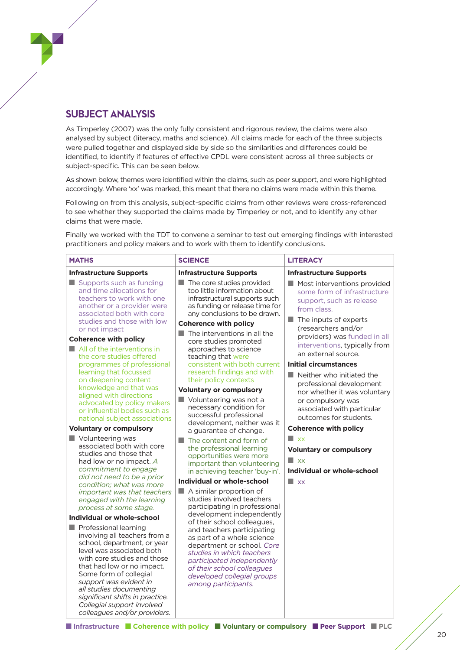#### **SUBJECT ANALYSIS**

As Timperley (2007) was the only fully consistent and rigorous review, the claims were also analysed by subject (literacy, maths and science). All claims made for each of the three subjects were pulled together and displayed side by side so the similarities and differences could be identified, to identify if features of effective CPDL were consistent across all three subjects or subject-specific. This can be seen below.

As shown below, themes were identified within the claims, such as peer support, and were highlighted accordingly. Where 'xx' was marked, this meant that there no claims were made within this theme.

Following on from this analysis, subject-specific claims from other reviews were cross-referenced to see whether they supported the claims made by Timperley or not, and to identify any other claims that were made.

Finally we worked with the TDT to convene a seminar to test out emerging findings with interested practitioners and policy makers and to work with them to identify conclusions.

| <b>MATHS</b>                                                                                                                                                                                                                                                                                                                                                                   | <b>SCIENCE</b>                                                                                                                                                                                                                       | <b>LITERACY</b>                                                                                                                               |
|--------------------------------------------------------------------------------------------------------------------------------------------------------------------------------------------------------------------------------------------------------------------------------------------------------------------------------------------------------------------------------|--------------------------------------------------------------------------------------------------------------------------------------------------------------------------------------------------------------------------------------|-----------------------------------------------------------------------------------------------------------------------------------------------|
| <b>Infrastructure Supports</b>                                                                                                                                                                                                                                                                                                                                                 | <b>Infrastructure Supports</b>                                                                                                                                                                                                       | <b>Infrastructure Supports</b>                                                                                                                |
| Supports such as funding<br>and time allocations for<br>teachers to work with one<br>another or a provider were<br>associated both with core<br>studies and those with low                                                                                                                                                                                                     | The core studies provided<br>too little information about<br>infrastructural supports such<br>as funding or release time for<br>any conclusions to be drawn.                                                                         | Most interventions provided<br>some form of infrastructure<br>support, such as release<br>from class.<br>$\blacksquare$ The inputs of experts |
| or not impact<br><b>Coherence with policy</b><br>$\blacksquare$ All of the interventions in<br>the core studies offered                                                                                                                                                                                                                                                        | <b>Coherence with policy</b><br>The interventions in all the<br>core studies promoted<br>approaches to science<br>teaching that were                                                                                                 | (researchers and/or<br>providers) was funded in all<br>interventions, typically from<br>an external source.                                   |
| programmes of professional<br>learning that focussed                                                                                                                                                                                                                                                                                                                           | consistent with both current<br>research findings and with                                                                                                                                                                           | <b>Initial circumstances</b>                                                                                                                  |
| on deepening content                                                                                                                                                                                                                                                                                                                                                           | their policy contexts                                                                                                                                                                                                                | $\blacksquare$ Neither who initiated the<br>professional development                                                                          |
| knowledge and that was                                                                                                                                                                                                                                                                                                                                                         | <b>Voluntary or compulsory</b>                                                                                                                                                                                                       | nor whether it was voluntary                                                                                                                  |
| aligned with directions<br>advocated by policy makers<br>or influential bodies such as<br>national subject associations<br><b>Voluntary or compulsory</b>                                                                                                                                                                                                                      | Volunteering was not a<br>necessary condition for<br>successful professional<br>development, neither was it                                                                                                                          | or compulsory was<br>associated with particular<br>outcomes for students.<br><b>Coherence with policy</b>                                     |
| Volunteering was                                                                                                                                                                                                                                                                                                                                                               | a guarantee of change.                                                                                                                                                                                                               | $\blacksquare$ xx                                                                                                                             |
| associated both with core<br>studies and those that<br>had low or no impact. A<br>commitment to engage                                                                                                                                                                                                                                                                         | $\blacksquare$ The content and form of<br>the professional learning<br>opportunities were more<br>important than volunteering<br>in achieving teacher 'buy-in'.                                                                      | <b>Voluntary or compulsory</b><br>$\blacksquare$ xx<br>Individual or whole-school                                                             |
| did not need to be a prior<br>condition; what was more                                                                                                                                                                                                                                                                                                                         | Individual or whole-school                                                                                                                                                                                                           | $\Box$ xx                                                                                                                                     |
| important was that teachers<br>engaged with the learning<br>process at some stage.                                                                                                                                                                                                                                                                                             | $\blacksquare$ A similar proportion of<br>studies involved teachers<br>participating in professional                                                                                                                                 |                                                                                                                                               |
| Individual or whole-school                                                                                                                                                                                                                                                                                                                                                     | development independently<br>of their school colleagues,                                                                                                                                                                             |                                                                                                                                               |
| $\blacksquare$ Professional learning<br>involving all teachers from a<br>school, department, or year<br>level was associated both<br>with core studies and those<br>that had low or no impact.<br>Some form of collegial<br>support was evident in<br>all studies documenting<br>significant shifts in practice.<br>Collegial support involved<br>colleagues and/or providers. | and teachers participating<br>as part of a whole science<br>department or school. Core<br>studies in which teachers<br>participated independently<br>of their school colleagues<br>developed collegial groups<br>among participants. |                                                                                                                                               |